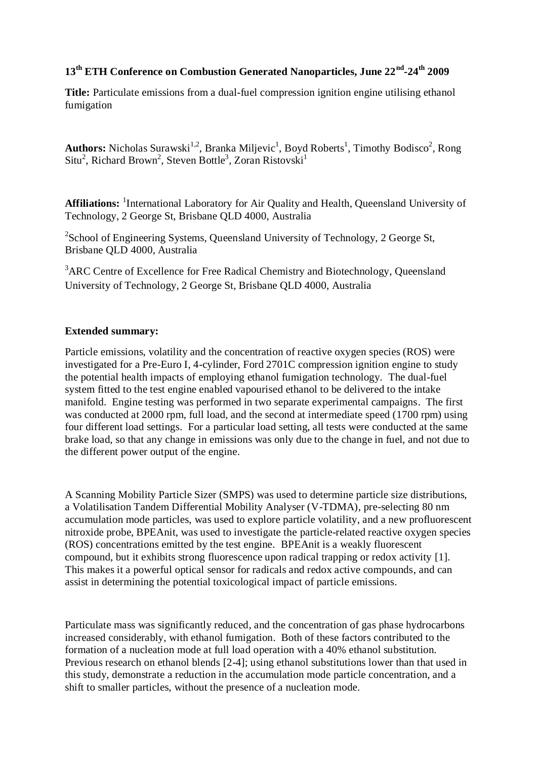#### **13th ETH Conference on Combustion Generated Nanoparticles, June 22nd -24th 2009**

**Title:** Particulate emissions from a dual-fuel compression ignition engine utilising ethanol fumigation

Authors: Nicholas Surawski<sup>1,2</sup>, Branka Miljevic<sup>1</sup>, Boyd Roberts<sup>1</sup>, Timothy Bodisco<sup>2</sup>, Rong  $Situ<sup>2</sup>$ , Richard Brown<sup>2</sup>, Steven Bottle<sup>3</sup>, Zoran Ristovski<sup>1</sup>

Affiliations: <sup>1</sup>International Laboratory for Air Quality and Health, Queensland University of Technology, 2 George St, Brisbane QLD 4000, Australia

<sup>2</sup>School of Engineering Systems, Queensland University of Technology, 2 George St, Brisbane QLD 4000, Australia

<sup>3</sup>ARC Centre of Excellence for Free Radical Chemistry and Biotechnology, Queensland University of Technology, 2 George St, Brisbane QLD 4000, Australia

#### **Extended summary:**

Particle emissions, volatility and the concentration of reactive oxygen species (ROS) were investigated for a Pre-Euro I, 4-cylinder, Ford 2701C compression ignition engine to study the potential health impacts of employing ethanol fumigation technology. The dual-fuel system fitted to the test engine enabled vapourised ethanol to be delivered to the intake manifold. Engine testing was performed in two separate experimental campaigns. The first was conducted at 2000 rpm, full load, and the second at intermediate speed (1700 rpm) using four different load settings. For a particular load setting, all tests were conducted at the same brake load, so that any change in emissions was only due to the change in fuel, and not due to the different power output of the engine.

A Scanning Mobility Particle Sizer (SMPS) was used to determine particle size distributions, a Volatilisation Tandem Differential Mobility Analyser (V-TDMA), pre-selecting 80 nm accumulation mode particles, was used to explore particle volatility, and a new profluorescent nitroxide probe, BPEAnit, was used to investigate the particle-related reactive oxygen species (ROS) concentrations emitted by the test engine. BPEAnit is a weakly fluorescent compound, but it exhibits strong fluorescence upon radical trapping or redox activity [1]. This makes it a powerful optical sensor for radicals and redox active compounds, and can assist in determining the potential toxicological impact of particle emissions.

Particulate mass was significantly reduced, and the concentration of gas phase hydrocarbons increased considerably, with ethanol fumigation. Both of these factors contributed to the formation of a nucleation mode at full load operation with a 40% ethanol substitution. Previous research on ethanol blends [2-4]; using ethanol substitutions lower than that used in this study, demonstrate a reduction in the accumulation mode particle concentration, and a shift to smaller particles, without the presence of a nucleation mode.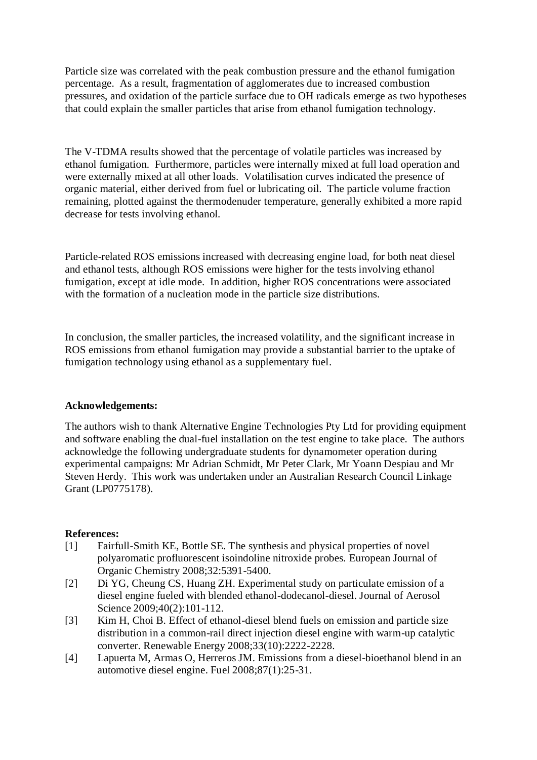Particle size was correlated with the peak combustion pressure and the ethanol fumigation percentage. As a result, fragmentation of agglomerates due to increased combustion pressures, and oxidation of the particle surface due to OH radicals emerge as two hypotheses that could explain the smaller particles that arise from ethanol fumigation technology.

The V-TDMA results showed that the percentage of volatile particles was increased by ethanol fumigation. Furthermore, particles were internally mixed at full load operation and were externally mixed at all other loads. Volatilisation curves indicated the presence of organic material, either derived from fuel or lubricating oil. The particle volume fraction remaining, plotted against the thermodenuder temperature, generally exhibited a more rapid decrease for tests involving ethanol.

Particle-related ROS emissions increased with decreasing engine load, for both neat diesel and ethanol tests, although ROS emissions were higher for the tests involving ethanol fumigation, except at idle mode. In addition, higher ROS concentrations were associated with the formation of a nucleation mode in the particle size distributions.

In conclusion, the smaller particles, the increased volatility, and the significant increase in ROS emissions from ethanol fumigation may provide a substantial barrier to the uptake of fumigation technology using ethanol as a supplementary fuel.

#### **Acknowledgements:**

The authors wish to thank Alternative Engine Technologies Pty Ltd for providing equipment and software enabling the dual-fuel installation on the test engine to take place. The authors acknowledge the following undergraduate students for dynamometer operation during experimental campaigns: Mr Adrian Schmidt, Mr Peter Clark, Mr Yoann Despiau and Mr Steven Herdy. This work was undertaken under an Australian Research Council Linkage Grant (LP0775178).

#### **References:**

- [1] Fairfull-Smith KE, Bottle SE. The synthesis and physical properties of novel polyaromatic profluorescent isoindoline nitroxide probes. European Journal of Organic Chemistry 2008;32:5391-5400.
- [2] Di YG, Cheung CS, Huang ZH. Experimental study on particulate emission of a diesel engine fueled with blended ethanol-dodecanol-diesel. Journal of Aerosol Science 2009;40(2):101-112.
- [3] Kim H, Choi B. Effect of ethanol-diesel blend fuels on emission and particle size distribution in a common-rail direct injection diesel engine with warm-up catalytic converter. Renewable Energy 2008;33(10):2222-2228.
- [4] Lapuerta M, Armas O, Herreros JM. Emissions from a diesel-bioethanol blend in an automotive diesel engine. Fuel 2008;87(1):25-31.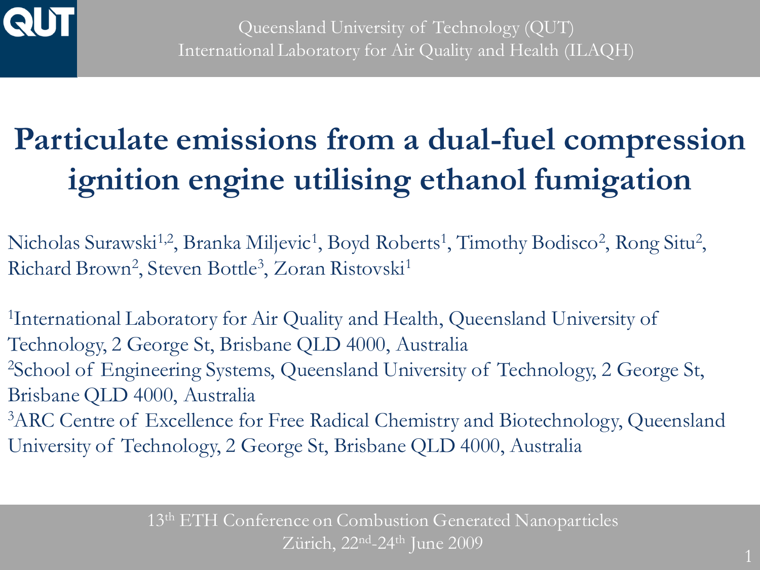

# **Particulate emissions from a dual-fuel compression ignition engine utilising ethanol fumigation**

Nicholas Surawski<sup>1,2</sup>, Branka Miljevic<sup>1</sup>, Boyd Roberts<sup>1</sup>, Timothy Bodisco<sup>2</sup>, Rong Situ<sup>2</sup>, Richard Brown<sup>2</sup>, Steven Bottle<sup>3</sup>, Zoran Ristovski<sup>1</sup>

1 International Laboratory for Air Quality and Health, Queensland University of Technology, 2 George St, Brisbane QLD 4000, Australia <sup>2</sup>School of Engineering Systems, Queensland University of Technology, 2 George St, Brisbane QLD 4000, Australia <sup>3</sup>ARC Centre of Excellence for Free Radical Chemistry and Biotechnology, Queensland

University of Technology, 2 George St, Brisbane QLD 4000, Australia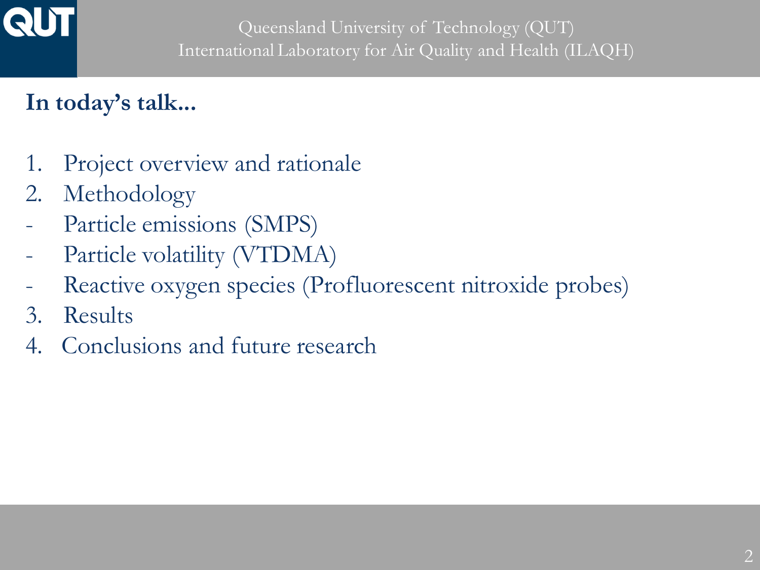

## **In today's talk...**

- 1. Project overview and rationale
- 2. Methodology
- Particle emissions (SMPS)
- Particle volatility (VTDMA)
- Reactive oxygen species (Profluorescent nitroxide probes)
- 3. Results
- 4. Conclusions and future research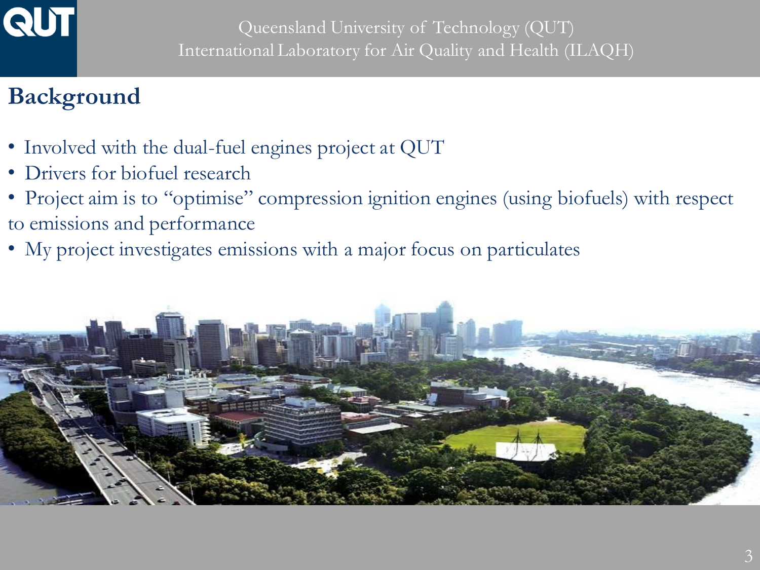

### **Background**

- Involved with the dual-fuel engines project at QUT
- Drivers for biofuel research
- Project aim is to "optimise" compression ignition engines (using biofuels) with respect to emissions and performance
- My project investigates emissions with a major focus on particulates

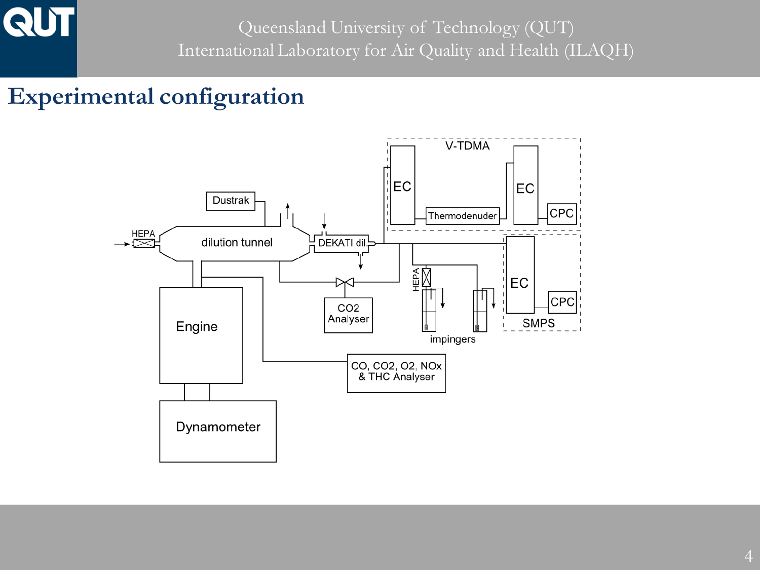

#### **Experimental configuration**

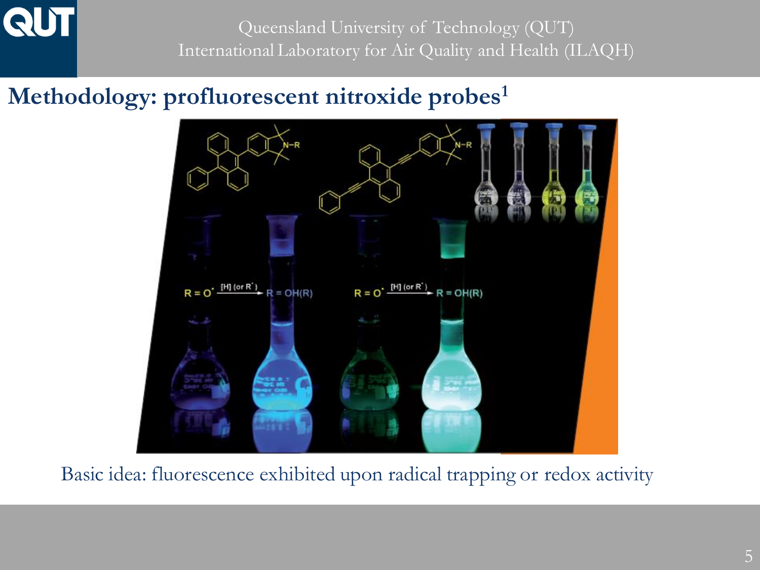Queensland University of Technology (QUT) International Laboratory for Air Quality and Health (ILAQH)

#### **Methodology: profluorescent nitroxide probes<sup>1</sup>**



Basic idea: fluorescence exhibited upon radical trapping or redox activity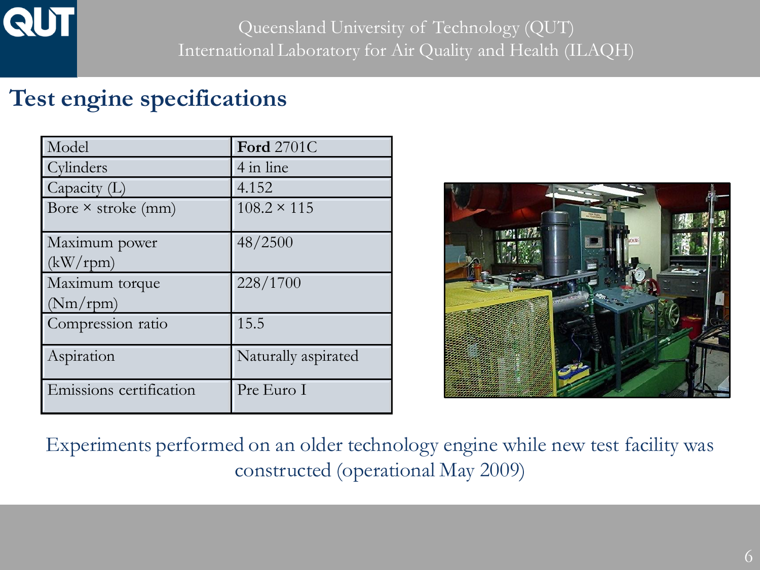

#### **Test engine specifications**

| Model                     | <b>Ford 2701C</b>   |
|---------------------------|---------------------|
| Cylinders                 | 4 in line           |
| Capacity $(L)$            | 4.152               |
| Bore $\times$ stroke (mm) | $108.2 \times 115$  |
| Maximum power             | 48/2500             |
| (kW/rpm)                  |                     |
| Maximum torque            | 228/1700            |
| (Nm/rpm)                  |                     |
| Compression ratio         | 15.5                |
| Aspiration                | Naturally aspirated |
| Emissions certification   | Pre Euro I          |



Experiments performed on an older technology engine while new test facility was constructed (operational May 2009)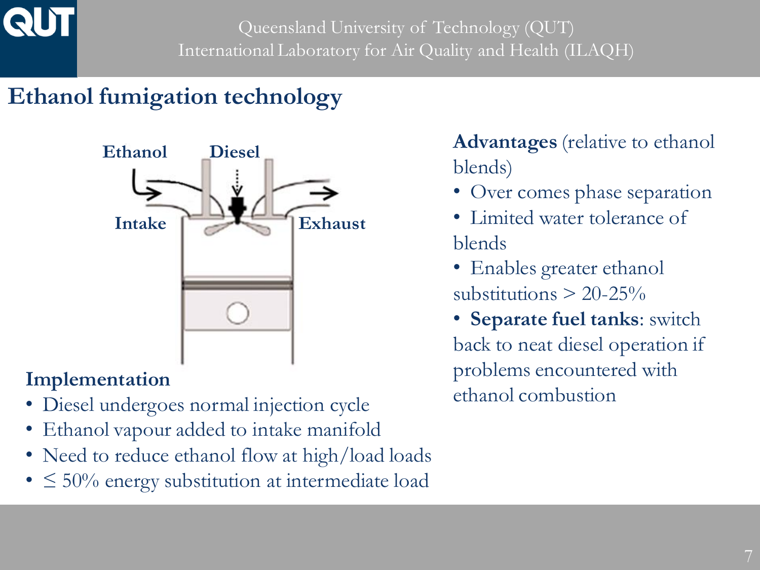# **Ethanol fumigation technology**



#### **Implementation**

- Diesel undergoes normal injection cycle
- Ethanol vapour added to intake manifold
- Need to reduce ethanol flow at high/load loads
- $\leq 50\%$  energy substitution at intermediate load

**Advantages** (relative to ethanol blends)

- Over comes phase separation
- Limited water tolerance of blends
- Enables greater ethanol substitutions  $> 20-25\%$
- **Separate fuel tanks**: switch back to neat diesel operation if problems encountered with ethanol combustion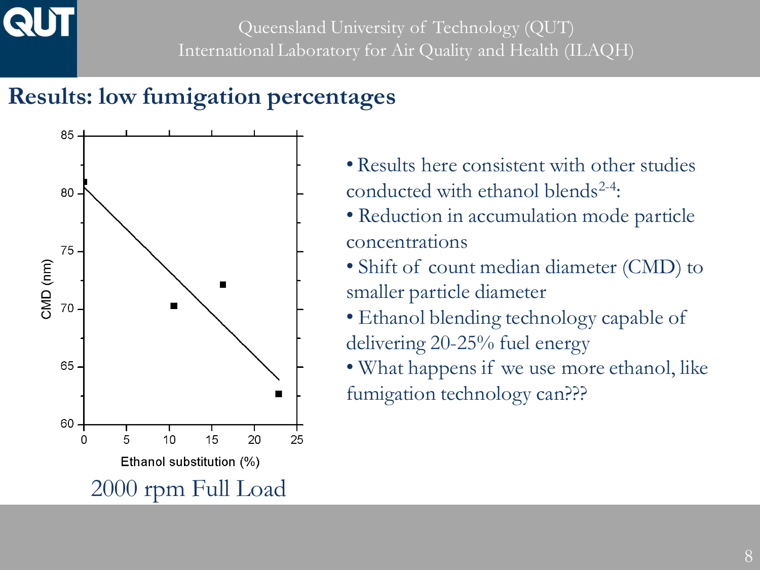#### **Results: low fumigation percentages**



- Results here consistent with other studies conducted with ethanol blends<sup>2-4</sup>:
- Reduction in accumulation mode particle concentrations
- Shift of count median diameter (CMD) to smaller particle diameter
- Ethanol blending technology capable of delivering 20-25% fuel energy
- What happens if we use more ethanol, like fumigation technology can???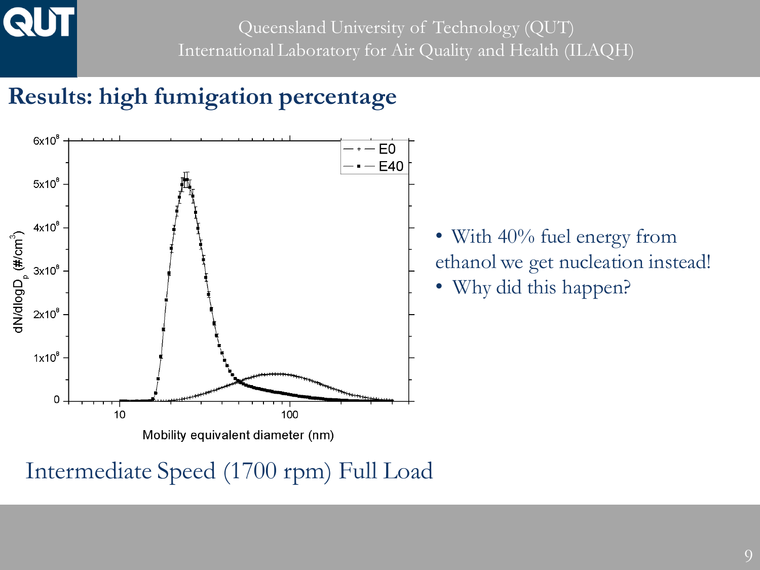Queensland University of Technology (QUT) International Laboratory for Air Quality and Health (ILAQH)

## **Results: high fumigation percentage**



Intermediate Speed (1700 rpm) Full Load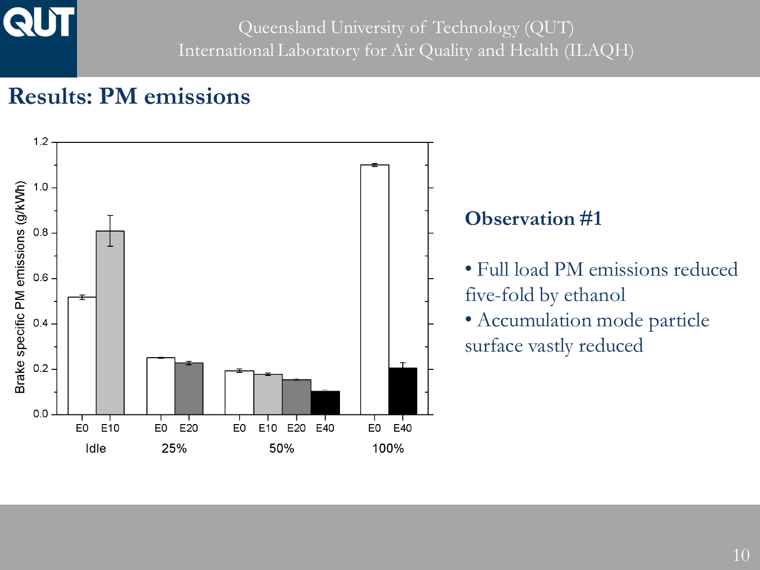### **Results: PM emissions**

**QUT** 

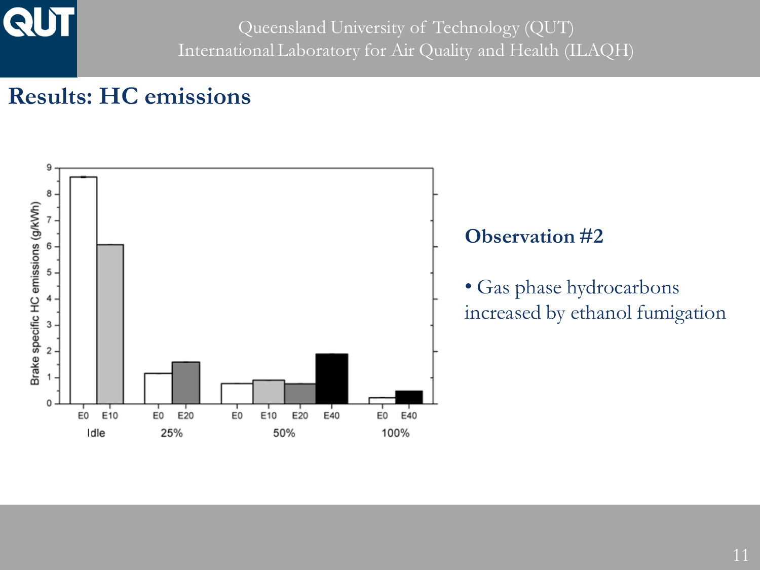Queensland University of Technology (QUT) International Laboratory for Air Quality and Health (ILAQH)

#### **Results: HC emissions**

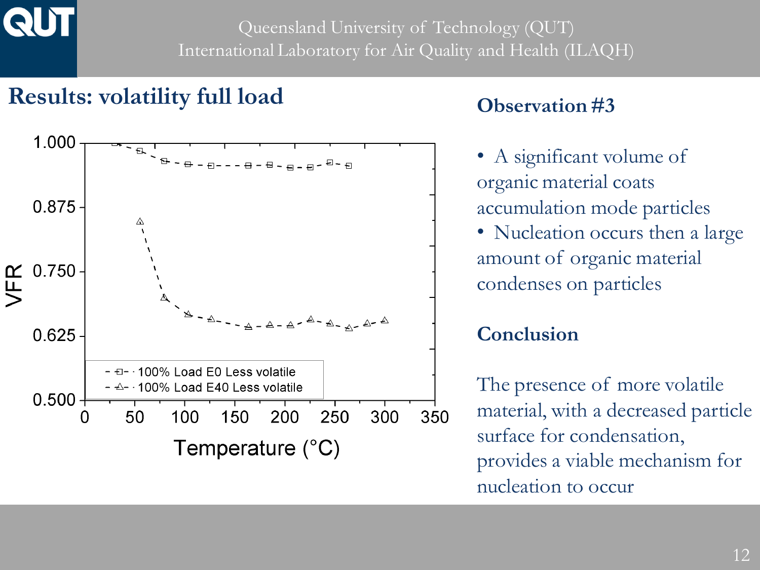#### **Results: volatility full load**



#### **Observation #3**

- A significant volume of organic material coats accumulation mode particles
- Nucleation occurs then a large amount of organic material condenses on particles

#### **Conclusion**

The presence of more volatile material, with a decreased particle surface for condensation, provides a viable mechanism for nucleation to occur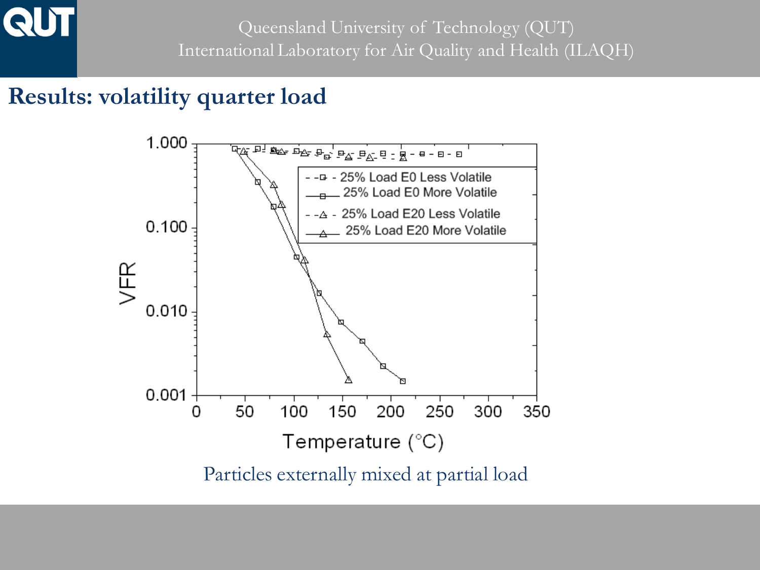

#### **Results: volatility quarter load**

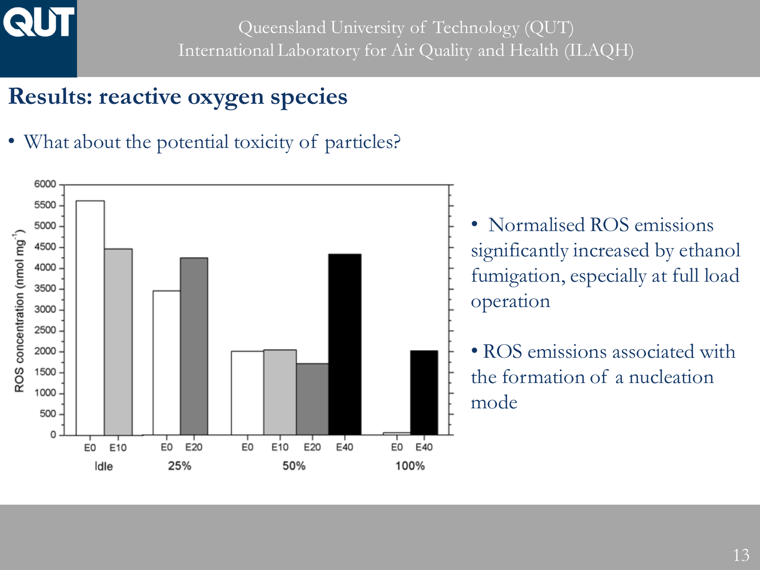

# **Results: reactive oxygen species**

• What about the potential toxicity of particles?

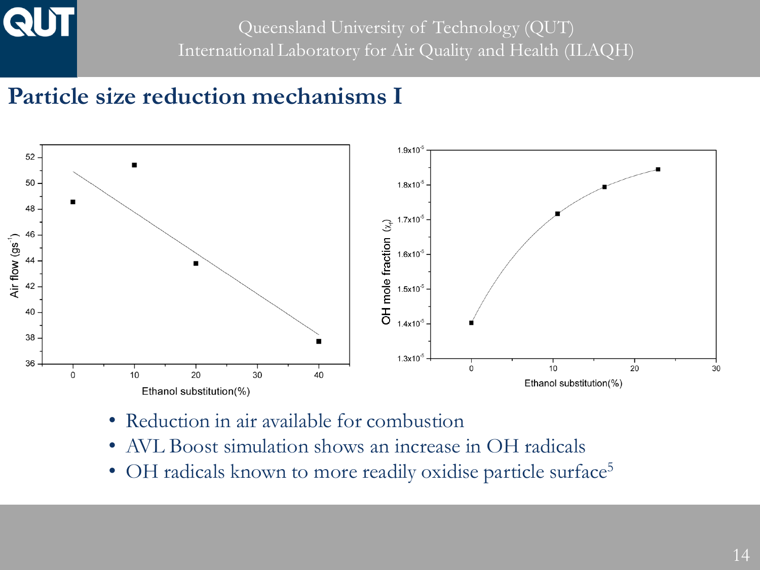Queensland University of Technology (QUT) International Laboratory for Air Quality and Health (ILAQH)

#### **Particle size reduction mechanisms I**



- Reduction in air available for combustion
- AVL Boost simulation shows an increase in OH radicals
- OH radicals known to more readily oxidise particle surface<sup>5</sup>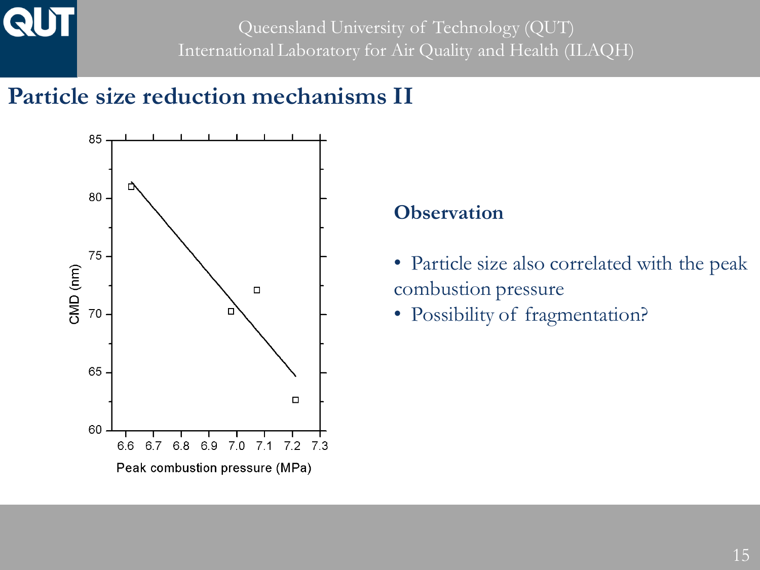Queensland University of Technology (QUT) International Laboratory for Air Quality and Health (ILAQH)

#### **Particle size reduction mechanisms II**



#### **Observation**

- Particle size also correlated with the peak combustion pressure
- Possibility of fragmentation?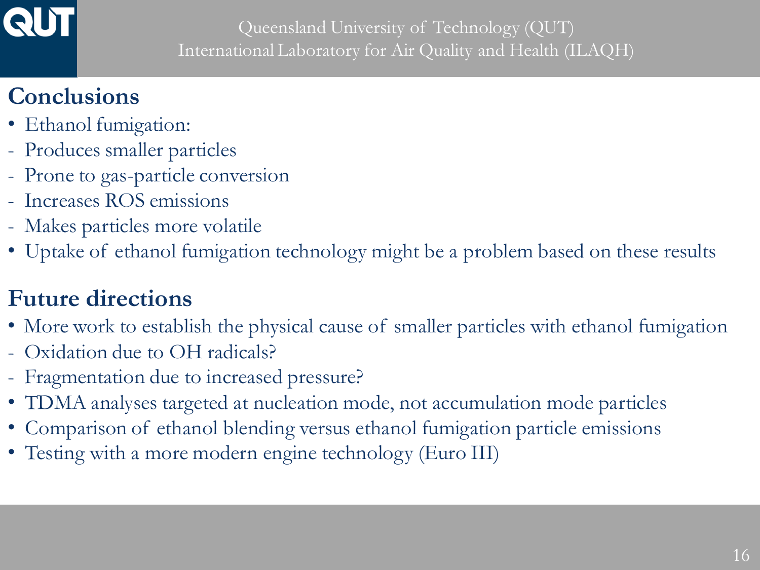

# **Conclusions**

- Ethanol fumigation:
- Produces smaller particles
- Prone to gas-particle conversion
- Increases ROS emissions
- Makes particles more volatile
- Uptake of ethanol fumigation technology might be a problem based on these results

# **Future directions**

- More work to establish the physical cause of smaller particles with ethanol fumigation
- Oxidation due to OH radicals?
- Fragmentation due to increased pressure?
- TDMA analyses targeted at nucleation mode, not accumulation mode particles
- Comparison of ethanol blending versus ethanol fumigation particle emissions
- Testing with a more modern engine technology (Euro III)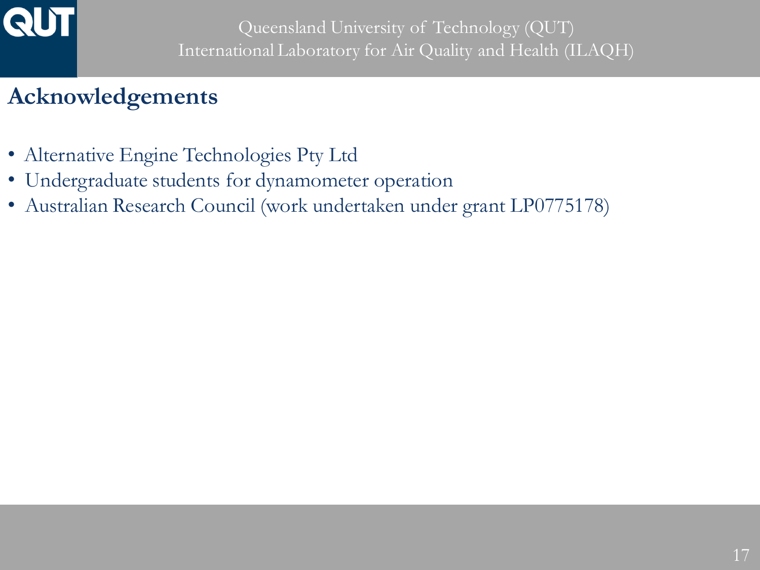

### **Acknowledgements**

- Alternative Engine Technologies Pty Ltd
- Undergraduate students for dynamometer operation
- Australian Research Council (work undertaken under grant LP0775178)